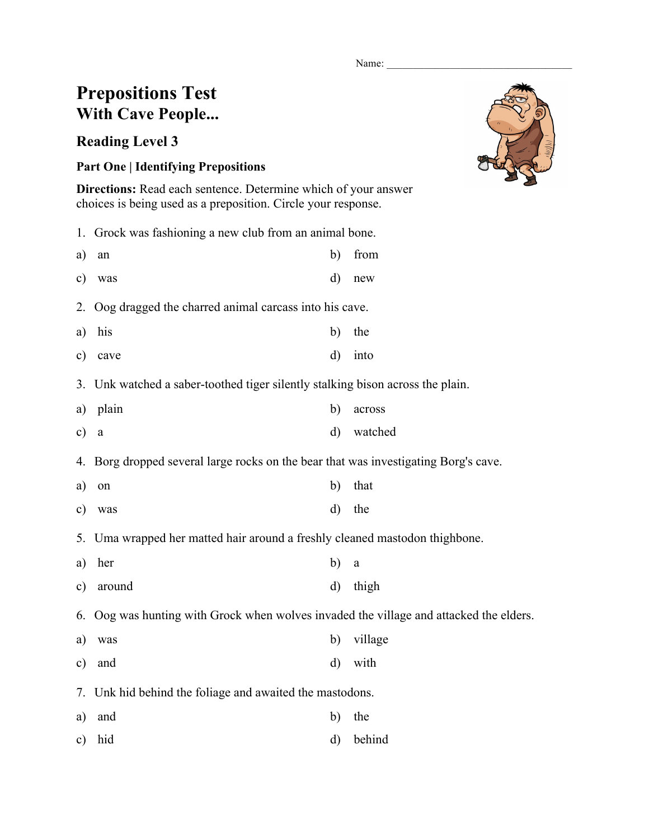Name:

## **Prepositions Test With Cave People...**

## **Reading Level 3**

## **Part One | Identifying Prepositions**

**Directions:** Read each sentence. Determine which of your answer choices is being used as a preposition. Circle your response.

1. Grock was fashioning a new club from an animal bone.

| a) an  | b) from |
|--------|---------|
| c) was | d) new  |

- 2. Oog dragged the charred animal carcass into his cave.
- a) his b) the
- c) cave d) into
- 3. Unk watched a saber-toothed tiger silently stalking bison across the plain.
- a) plain b) across c) a d) watched

4. Borg dropped several large rocks on the bear that was investigating Borg's cave.

- a) on b) that
- c) was d) the
- 5. Uma wrapped her matted hair around a freshly cleaned mastodon thighbone.
- a) her b) a
- c) around d) thigh

6. Oog was hunting with Grock when wolves invaded the village and attacked the elders.

- a) was b) village c) and d) with
- 7. Unk hid behind the foliage and awaited the mastodons.
- a) and b) the
- c) hid d) behind

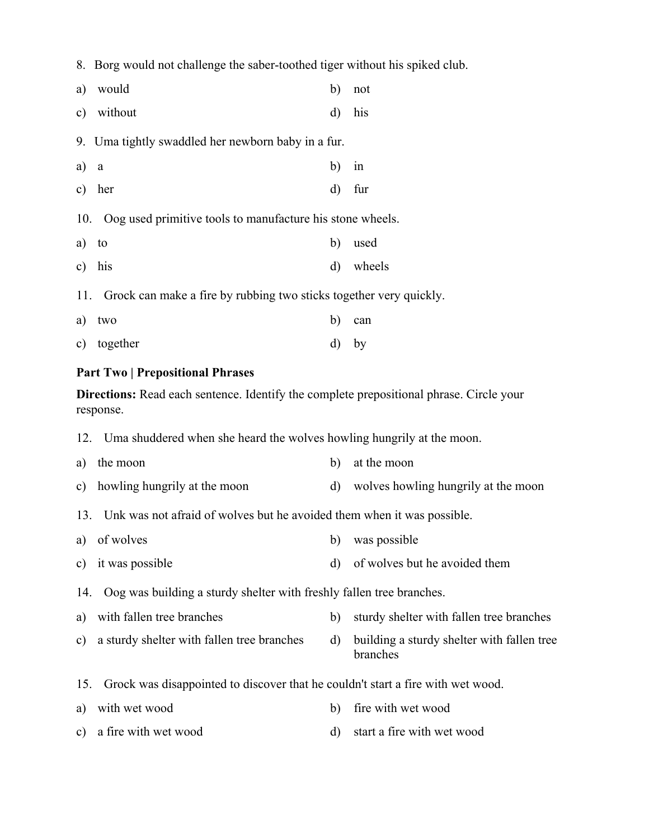8. Borg would not challenge the saber-toothed tiger without his spiked club.

| a)    | would                                                                  | b)           | not       |
|-------|------------------------------------------------------------------------|--------------|-----------|
|       | c) without                                                             | $\mathbf{d}$ | his       |
|       | 9. Uma tightly swaddled her newborn baby in a fur.                     |              |           |
| a) a  |                                                                        | b)           | in        |
|       | c) her                                                                 | $\mathbf{d}$ | fur       |
|       |                                                                        |              |           |
|       | 10. Oog used primitive tools to manufacture his stone wheels.          |              |           |
| a) to |                                                                        | b)           | used      |
|       | c) his                                                                 |              | d) wheels |
|       | 11. Grock can make a fire by rubbing two sticks together very quickly. |              |           |

c) together d) by

## **Part Two | Prepositional Phrases**

**Directions:** Read each sentence. Identify the complete prepositional phrase. Circle your response.

- 12. Uma shuddered when she heard the wolves howling hungrily at the moon.
- a) the moon b) at the moon
- c) howling hungrily at the moon d) wolves howling hungrily at the moon
- 13. Unk was not afraid of wolves but he avoided them when it was possible.
- a) of wolves b) was possible
- c) it was possible d) of wolves but he avoided them

14. Oog was building a sturdy shelter with freshly fallen tree branches.

- a) with fallen tree branches b) sturdy shelter with fallen tree branches
- c) a sturdy shelter with fallen tree branches d) building a sturdy shelter with fallen tree branches
- 15. Grock was disappointed to discover that he couldn't start a fire with wet wood.
- a) with wet wood b) fire with wet wood
- c) a fire with wet wood d) start a fire with wet wood